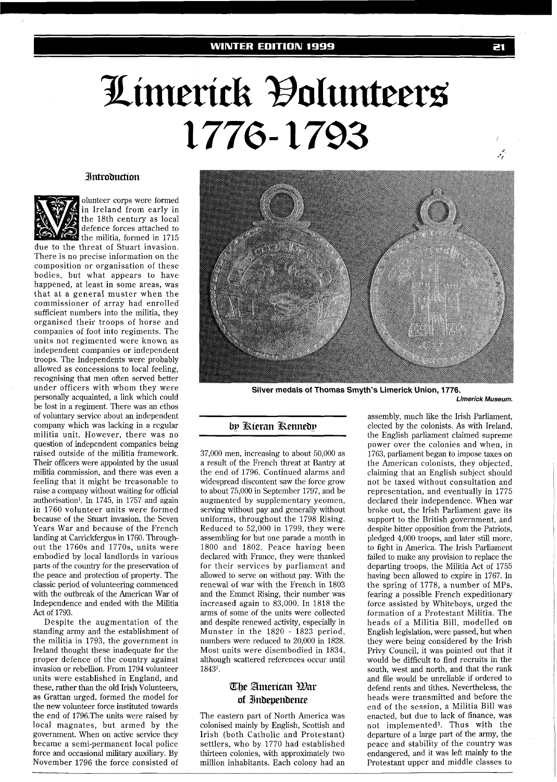# Limerick Đolunteers 1776-1793

## **Introduction**



olunteer corps were formed in Ireland from early in the 18th century as local defence forces attached to the militia, formed in 1715

due to the threat of Stuart invasion. There is no precise information on the composition or organisation of these bodies, but what appears to have happened, at least in some areas, was that at a general muster when the commissioner of array had enrolled sufficient numbers into the militia, they organised their troops of horse and companies of foot into regiments. The units not regimented were known as independent companies or independent troops. The Independents were probably allowed as concessions to local feeling, recognising that men often served better under officers with whom they were personally acquainted, a link which could be lost in a regiment. There was an ethos of voluntary service about an independent company which was lacking in a regular militia unit. However, there was no question of independent companies being raised outside of the militia framework. Their officers were appointed by the usual militia commission, and there was even a feeling that it might be treasonable to raise a company without waiting for official authorisation'. In 1745, in 1757 and again in 1760 volunteer units were formed because of the Stuart invasion, the Seven Years War and because of the French landing at Carrickfergus in 1760. Throughout the 1760s and 1770s, units were embodied by local landlords in various parts of the country for the preservation of the peace and protection of property. The classic period of volunteering commenced with the outbreak of the American War of Independence and ended with the Militia Act of 1793.

Despite the augmentation of the standing army and the establishment of the militia in 1793, the government in Ireland thought these inadequate for the proper defence of the country against invasion or rebellion. From 1794 volunteer units were established in England, and these, rather than the old Irish Volunteers, as Grattan urged, formed the model for the new volunteer force instituted towards the end of 1796.The units were raised by local magnates, but armed by the government. When on active service they became a semi-permanent local police force and occasional military auxiliary. By November 1796 the force consisted of



**Silver medals of Thomas Smyth's Limerick Union, 1776.** 

**Limerick Museum.** 

# by Kieran Rennedy

37,000 men, increasing to about 50,000 as a result of the French threat at Bantry at the end of 1796. Continued alarms and widespread discontent saw the force grow to about 75,000 in September 1797, and be augmented by supplementary yeomen, serving without pay and generally without uniforms, throughout the 1798 Rising. Reduced to 52,000 in 1799, they were assembling for but one parade a month in 1800 and 1802. Peace having been declared with France, they were thanked for their services by parliament and allowed to serve on without pay. With the renewal of war with the French in 1803 and the Emmet Rising, their number was increased again to 83,000. In 1818 the arms of some of the units were collected and despite renewed activity, especially in Munster in the 1820 - 1823 period, numbers were reduced to 20,000 in 1828. Most units were disembodied in 1834, although scattered references occur until 18432.

# The American Ear of Indevendence

The eastern part of North America was colonised mainly by English, Scottish and Irish (both Catholic and Protestant) settlers, who by 1770 had established thirteen colonies, with approximately two million inhabitants. Each colony had an assembly, much like the Irish Parliament, elected by the colonists. As with Ireland, the English parliament claimed supreme power over the colonies and when, in 1763, parliament began to impose taxes on the American colonists, they objected, claiming that an English subject should not be taxed without consultation and representation, and eventually in 1775 declared their independence. When war broke out, the Irish Parliament gave its support to the British government, and despite bitter opposition from the Patriots, pledged 4,000 troops, and later still more, to fight in America. The Irish Parliament failed to make any provision to replace the departing troops, the Militia Act of 1755 having been allowed to expire in 1767. In the spring of 1778, a number of MPS, fearing a possible French expeditionary force assisted by Whiteboys, urged the formation of a Protestant Militia. The heads of a Militia Bill, modelled on English legislation, were passed, but when they were being considered by the Irish Privy Council, it was pointed out that it would be difficult to find recruits in the south, west and north, and that the rank and file would be unreliable if ordered to defend rents and tithes. Nevertheless, the heads were transmitted and before the end of the session, a Militia Bill was enacted, but due to lack of finance, was not implemented<sup>3</sup>. Thus with the departure of a large part of the army, the peace and stability of the country was endangered, and it was left mainly to the Protestant upper and middle classes to

بمبن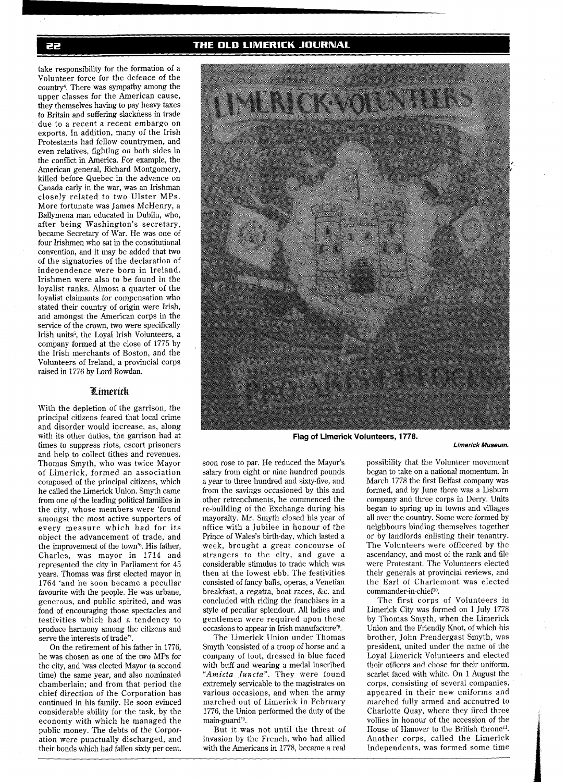THE OLD LIMERICK JOURNAL

take responsibility for the formation of a Volunteer force for the defence of the country<sup>4</sup>. There was sympathy among the upper classes for the American cause, they themselves having to pay heavy taxes to Britain and suffering slackness in trade due to a recent a recent embargo on exports. In addition, many of the Irish Protestants had fellow countrymen, and even relatives, fighting on both sides in the conflict in America. For example, the American general, Richard Montgomery, killed before Quebec in the advance on Canada early in the war, was an Irishman closely related to two Ulster MPS. More fortunate was James McHenry, a Ballymena man educated in Dublin, who, after being Washington's secretary, became Secretary of War. He was one of four Irishmen who sat in the constitutional convention, and it may be added that two of the signatories of the declaration of independence were born in Ireland. Irishmen were also to be found in the loyalist ranks. Almost a quarter of the loyalist claimants for compensation who stated their country of origin were Irish, and amongst the American corps in the service of the crown, two were specifically Irish units5, the Loyal Irish Volunteers, a company formed at the close of 1775 by the Irish merchants of Boston, and the Volunteers of Ireland, a provincial corps raised in 1776 by Lord Rowdan.

## Limerick

With the depletion of the garrison, the principal citizens feared that local crime and disorder would increase, as, along with its other duties, the garrison had at times to suppress riots, escort prisoners and help to collect tithes and revenues. Thomas Smyth, who was twice Mayor of Limerick, formed an association composed of the principal citizens, which he called the Limerick Union. Smyth came from one of the leading political families in the city, whose members were 'found amongst the most active supporters of every measure which had for its object the advancement of trade, and the improvement of the town'<sup>6</sup>. His father, Charles, was mayor in 1714 and represented the city in Parliament for 45 years. Thomas was first elected mayor in 1764 'and he soon became a peculiar favourite with the people. He was urbane, generous, and public spirited, and was fond of encouraging those spectacles and festivities which had a tendency to produce harmony among the citizens and serve the interests of trade'7.

On the retirement of his father in 1776, he was chosen as one of the two MPS for the city, and 'was elected Mayor (a second time) the same year, and also nominated chamberlain; and from that period the chief direction of the Corporation has continued in his family. He soon evinced considerable ability for the task, by the economy with which he managed the public money. The debts of the Corporation were punctually discharged, and their bonds which had fallen sixty per cent.



**Flag of Limerick Volunteers, 1778.** 

soon rose to par. He reduced the Mayor's salary from eight or nine hundred pounds a year to three hundred and sixty-five, and from the savings occasioned by this and other retrenchments, he commenced the re-building of the Exchange during his mayoralty. Mr. Smyth closed his year of office with a Jubilee in honour of the Prince of Wales's birth-day, which lasted a week, brought a great concourse of strangers to the city, and gave a considerable stimulus to trade which was then at the lowest ebb. The festivities consisted of fancy balls, operas, a Venetian breakfast, a regatta, boat races, &c. and concluded with riding the franchises in a style of peculiar splendour. All ladies and gentlemen were required upon these occasions to appear in Irish manufacture'<sup>8</sup>.

The Limerick Union under Thomas Smyth 'consisted of a troop of horse and a company of foot, dressed in blue faced with buff and wearing a medal inscribed *"Amicta Juncta".* They were found extremely servicable to the magistrates on various occasions, and when the army marched out of Limerick in February 1776, the Union performed the duty of the main-guard'<sup>9</sup>.

But it was not until the threat of invasion by the French, who had allied with the Americans in 1778, became a real

possibility that the Volunteer movement began to take on a national momentum. In March 1778 the first Belfast company was formed, and by June there was a Lisburn company and three corps in Derry. Units began to spring up in towns and villages all over the country. Some were formed by neighbours binding themselves together or by landlords enlisting their tenantry. The Volunteers were officered by the ascendancy, and most of the rank and file were Protestant. The Volunteers elected their generals at provincial reviews, and the Earl of Charlemont was elected commander-in-chief<sup>10</sup>.

**Limerick Museum.** 

The first corps of Volunteers in Limerick City was formed on 1 July 1778 by Thomas Smyth, when the Limerick Union and the Friendly Knot, of which his brother, John Prendergast Smyth, was president, united under the name of the Loyal Limerick Volunteers and elected their officers and chose for their uniform, scarlet faced with white. On 1 August the corps, consisting of several companies, appeared in their new uniforms and marched fully armed and accoutred to Charlotte Quay, where they fired three vollies in honour of the accession of the House of Hanover to the British throne<sup>11</sup>. Another corps, called the Limerick Independents, was formed some time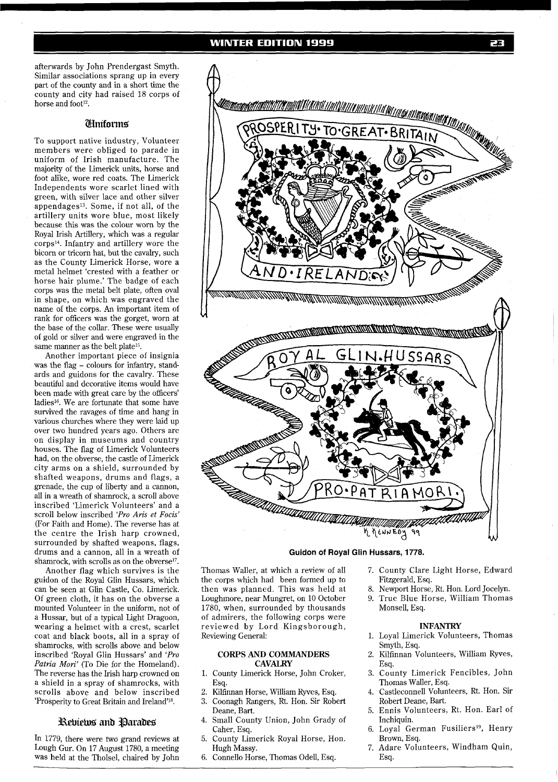afterwards by John Prendergast Smyth. Similar associations sprang up in every part of the county and in a short time the county and city had raised 18 corps of horse and foot<sup>12</sup>.

## **Ulmiforms**

To support native industry, Volunteer members were obliged to parade in uniform of Irish manufacture. The majority of the Limerick units, horse and foot alike, wore red coats. The Limerick Independents wore scarlet lined with green, with silver lace and other silver appendagesl3. Some, if not all, of the artillery units wore blue, most likely because this was the colour worn by the Royal Irish Artillery, which was a regular corps14. Infantry and artillery wore the bicorn or tricorn hat, but the cavalry, such as the County Limerick Horse, wore a metal helmet 'crested with a feather or horse hair plume.' The badge of each corps was the metal belt plate, often oval in shape, on which was engraved the name of the corps. An important item of rank for officers was the gorget, worn at the base of the collar. These were usually of gold or silver and were engraved in the same manner as the belt plate<sup>15</sup>.

Another important piece of insignia was the flag - colours for infantry, standards and guidons for the cavalry. These beautiful and decorative items would have been made with great care by the officers' ladies<sup>16</sup>. We are fortunate that some have survived the ravages of time and hang in various churches where they were laid up over two hundred years ago. Others are on display in museums and country houses. The flag of Limerick Volunteers had, on the obverse, the castle of Limerick city arms on a shield, surrounded by shafted weapons, drums and flags, a grenade, the cup of liberty and a cannon, all in a wreath of shamrock, a scroll above inscribed 'Limerick Volunteers' and a scroll below inscribed *'Pro Aris et Focis'*  (For Faith and Home). The reverse has at the centre the Irish harp crowned, surrounded by shafted weapons, flags, drums and a cannon, all in a wreath of shamrock, with scrolls as on the obverse<sup>17</sup>.

Another flag which survives is the guidon of the Royal Glin Hussars, which can be seen at Glin Castle, Co. Limerick. Of green cloth, it has on the obverse a mounted Volunteer in the uniform, not of a Hussar, but of a typical Light Dragoon, wearing a helmet with a crest, scarlet coat and black boots, all in a spray of shamrocks, with scrolls above and below inscribed 'Royal Glin Hussars' and *'Pro Patria Mori'* (To Die for the Homeland). The reverse has the Irish harp crowned on a shield in a spray of shamrocks, with scrolls above and below inscribed 'Prosperity to Great Britain and Ireland'18.

# Reviews and Parades

In 1779, there were two grand reviews at Lough Gur. On 17 August 1780, a meeting was held at the Tholsel, chaired by John



## **Guidon of Royal Glin Hussars, 1778.**

Thomas Waller, at which a review of all the corps which had been formed up to then was planned. This was held at Loughmore, near Mungret, on 10 October 1780, when, surrounded by thousands of admirers, the following corps were reviewed by Lord Kingsborough, Reviewing General:

#### **CORPS AND COMMANDERS CAVALRY**

- 1. County Limerick Horse, John Croker, Esq.
- 2. Kilfinnan Horse, William Ryves, Esq.
- **3.** Coonagh Rangers, Rt. Hon. Sir Robert Deane, Bart.
- 4. Small County Union, John Grady of Caher, Esq.
- 5. County Limerick Royal Horse, Hon. Hugh Massy.
- 6. Connello Horse, Thomas Odell, Esq.
- 7. County Clare Light Horse, Edward Fitzgerald, Esq.
- 8. Newport Horse, Rt. Hon. Lord Jocelyn.
- 9. True Blue Horse, William Thomas Monsell, Esq.

#### **INFANTRY**

- 1. Loyal Limerick Volunteers, Thomas Smyth, Esq.
- 2. Kilfinnan Volunteers, William Ryves, Esq.
- **3.** County Limerick Fencibles, John Thomas Waller, Esq.
- 4. Castleconnell Volunteers, Rt. Hon. Sir Robert Deane, Bart.
- 5. Ennis Volunteers, Rt. Hon. Earl of Inchiquin.
- 6. Loyal German Fusiliers<sup>19</sup>, Henry Brown, Esq.
- 7. Adare Volunteers, Windham Quin, Esq.

æ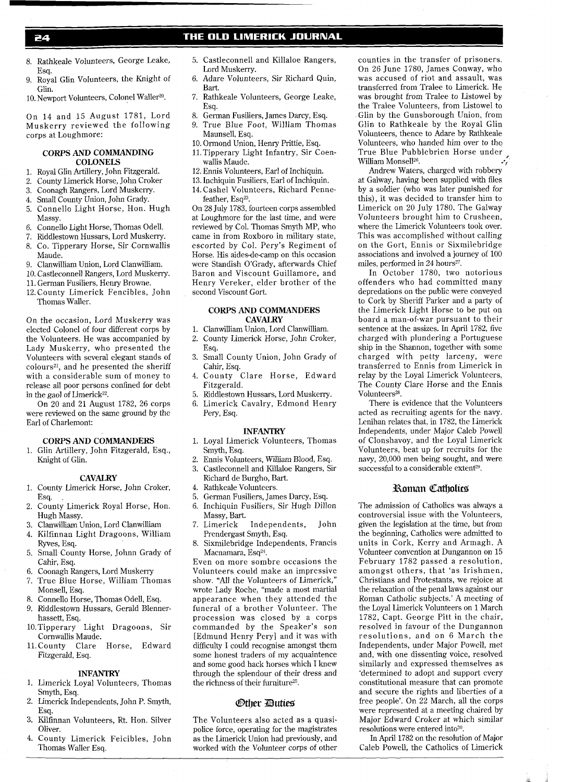# THE OLD LIMERICK JOURNAL

- 24
- 8. Rathkeale Volunteers, George Leake, Esq.
- 9. Royal Glin Volunteers, the Knight of Glin.
- 10. Newport Volunteers, Colonel Waller<sup>20</sup>.

On 14 and 15 August 1781, Lord Muskerry reviewed the following corps at Loughmore:

## **CORPS** AND **COMMANDING COLONELS**

- 1. Royal Glin Artillery, John Fitzgerald.<br>2. County Limerick Horse, John Croker
- 2. County Limerick Horse, John Croker<br>3. Coonagh Rangers, Lord Muskerry.
- 3. Coonagh Rangers, Lord Muskerry.
- 4. Small County Union, John Grady.<br>5. Connello Light Horse, Hon.
- 5. Connello Light Horse, Hon. Hugh **Massy**
- 6. Connello Light Horse, Thomas Odell.
- 7. Riddlestown Hussars, Lord Muskerry. 8. Co. Tipperary Horse, Sir Cornwallis
- Maude. 9. Clanwilliam Union, Lord Clanwilliam.
- 10. Castleconnell Rangers, Lord Muskerry.
- 11. German Fusiliers, Henry Browne.
- 12.County Limerick Fencibles, John Thomas Waller.

On the occasion, Lord Muskerry was elected Colonel of four different corps by the Volunteers. He was accompanied by Lady Muskerry, who presented the Volunteers with several elegant stands of colours<sup>21</sup>, and he presented the sheriff with a considerable sum of money to release all poor persons confined for debt in the gaol of Limerick $22$ .

On 20 and 21 August 1782, 26 corps were reviewed on the same ground by the Earl of Charlemont:

#### **CORPS** AND **COMMANDERS**

1. Glin Artillery, John Fitzgerald, Esq., Knight of Glin.

## **CAVALRY**

- 1. County Limerick Horse, John Croker, Esq. .
- 2. County Limerick Royal Horse, Hon. Hugh Massy.
- 3. Clanwilliam Union, Lord Clanwilliam
- 4. Kilfinnan Light Dragoons, William
- Ryves, Esq. 5. Small County Horse, Johnn Grady of
- Cahir, Esq. 6. Coonagh Rangers, Lord Muskerry
- 7. True Blue Horse, William Thomas
- Monsell, Esq.
- 8. Connello Horse, Thomas Odell, Esq. 9. Riddlestown Hussars, Gerald Blenner-
- hassett, Esq.
- 10.Tipperary Light Dragoons, Sir Cornwallis Maude.
- 11.County Clare Horse, Edward Fitzgerald, Esq.

## **INFANTRY**

- 1. Limerick Loyal Volunteers, Thomas Smyth, Esq.
- 2. Limerick Independents, John P. Smyth, Esq.
- 3. Kilfinnan Volunteers, Rt. Hon. Silver Oliver.
- 4. County Limerick Feicibles, John Thomas Waller Esq.
- 5. Castleconnell and Killaloe Rangers, Lord Muskerry.
- 6. Adare Volunteers, Sir Richard Quin, Bart.
- 7. Rathkeale Volunteers, George Leake, Esq.
- 8. German Fusiliers, James Darcy, Esq.
- 9. True Blue Foot, William Thomas Maunsell, Esq.
- 10. Ormond Union, Henry Prittie, Esq.
- 11.Tipperary Light Infantry, Sir Coenwallis Maude.
- 12. Ennis Volunteers, Earl of Inchiquin.
- 13. Inchiquin Fusiliers, Earl of Inchiquin.
- 14. Cashel Volunteers, Richard Pennefeather,  $E$ s $q^{23}$ .

On 28 July 1783, fourteen corps assembled at Loughmore for the last time, and were reviewed by Col. Thomas Smyth MP, who came in from Roxboro in military state, escorted by Col. Pery's Regiment of Horse. His aides-de-camp on this occasion were Standish O'Grady, afterwards Chief Baron and Viscount Guillamore, and Henry Vereker, elder brother of the second Viscount Gort.

#### **CORPS AND COMMANDERS CAVALRY**

- 1. Clanwilliam Union, Lord Clanwilliam.
- 2. County Limerick Horse, John Croker, Esq.
- 3. Small County Union, John Grady of Cahir, Esq.
- 4. County Clare Horse, Edward Fitzgerald.
- 5. Riddlestown Hussars, Lord Muskerry.
- 6. Limerick Cavalry, Edmond Henry Pery, Esq.

## **INFANTRY**

- 1. Loyal Limerick Volunteers, Thomas Smyth, Esq.
- 2. Ennis Volunteers, William Blood, Esq. 3. Castleconnell and Killaloe Rangers, Sir
- Richard de Burgho, Bart.
- 4. Rathkeale Volunteers.<br>5. German Fusiliers. Ian
- 5. German Fusiliers, James Darcy, Esq. 6. Inchiquin Fusiliers, Sir Hugh Dillon
- Massy, Bart. 7. Limerick Independents, John
- Prendergast Smyth, Esq.
- 8. Sixmilebridge Independents, Francis Macnamara, Esq<sup>24</sup>.

Even on more sombre occasions the Volunteers could make an impressive show. "All the Volunteers of Limerick," wrote Lady Roche, "made a most martial appearance when they attended the funeral of a brother Volunteer. The procession was closed by a corps commanded by the Speaker's son [Edmund Henry Pery] and it was with difficulty I could recognise amongst them some honest traders of my acquaintence and some good hack horses which I knew through the splendour of their dress and the richness of their furniture<sup>25</sup>.

## *Other Duties*

The Volunteers also acted as a quasipolice force, operating for the magistrates as the Limerick Union had previously, and worked with the Volunteer corps of other

counties in the transfer of prisoners. On 26 June 1780, James Conway, who was accused of riot and assault, was transferred from Tralee to Limerick. He was brought from Tralee to Listowel by the Tralee Volunteers, from Listowel to Glin by the Gunsborough Union, from Glin to Rathkeale by the Royal Glin Volunteers, thence to Adare by Rathkeale Volunteers, who handed him over to the True Blue Pubblebrien Horse under **<sup>p</sup>** William Monsell<sup>26</sup>.

Andrew Waters, charged with robbery at Galway, having been supplied with files by a soldier (who was later punished for this), it was decided to transfer him to Limerick on 20 July 1780. The Galway Volunteers brought him to Crusheen, where the Limerick Volunteers took over. This was accomplished without calling on the Gort, Ennis or Sixmilebridge associations and involved a journey of 100 miles, performed in 24 hours<sup>27</sup>.

In October 1780, two notorious offenders who had committed many depredations on the public were conveyed to Cork by Sheriff Parker and a party of the Limerick Light Horse to be put on board a man-of-war pursuant to their sentence at the assizes. In April 1782, five charged with plundering a Portuguese ship in the Shannon, together with some charged with petty larceny, were transferred to Ennis from Limerick in relay by the Loyal Limerick Volunteers, The County Clare Horse and the Ennis Volunteers<sup>28</sup>.

There is evidence that the Volunteers acted as recruiting agents for the navy. Lenihan relates that, in 1782, the Limerick Independents, under Major Caleb Powell of Clonshavoy, and the Loyal Limerick Volunteers, beat up for recruits for the navy, 20,000 men being sought, and were successful to a considerable extent<sup>29</sup>.

# **Roman Catholics**

The admission of Catholics was always a controversial issue with the Volunteers, given the legislation at the time, but from the beginning, Catholics were admitted to units in Cork, Kerry and Armagh. A Volunteer convention at Dungannon on 15 February 1782 passed a resolution, amongst others, that 'as Irishmen, Christians and Protestants, we rejoice at the relaxation of the penal laws against our Roman Catholic subjects.' A meeting of the Loyal Limerick Volunteers on 1 March 1782, Capt. George Pitt in the chair, resolved in favour of the Dungannon resolutions, and on 6 March the Independents, under Major Powell, met and, with one dissenting voice, resolved similarly and expressed themselves as 'determined to adopt and support every constitutional measure that can promote and secure the rights and liberties of a free people'. On 22 March, all the corps were represented at a meeting chaired by Major Edward Croker at which similar resolutions were entered into<sup>30</sup>.

In April 1782 on the resolution of Major Caleb Powell, the Catholics of Limerick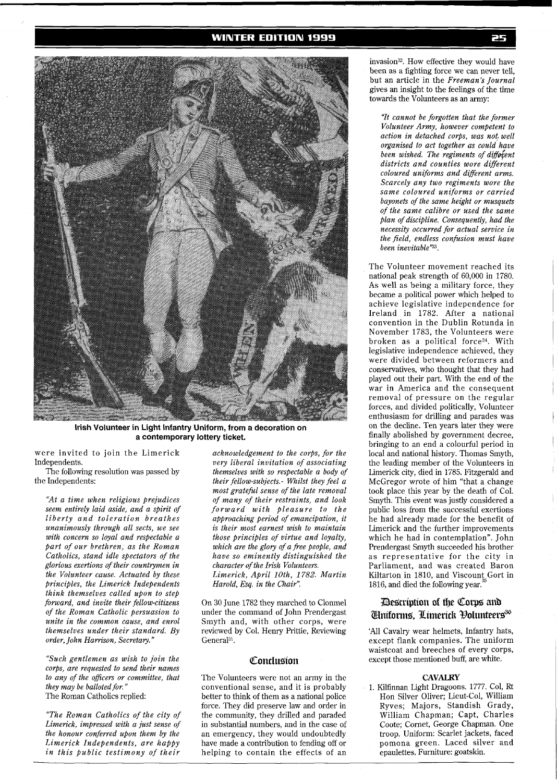## **WINTER EDITION 1999**



**Irish Volunteer in Light Infantry Uniform, from a decoration on a contemporary lottery ticket.** 

were invited to join the Limerick Independents.

The following resolution was passed by the Independents:

*"At a time when religious prejudices seem entirely laid aside, and a spirit of liberty and toleration breathes unanimously through all sects, we see with concern so loyal and respectable a part of our brethren, as the Roman Catholics, stand idle spectators of the glorious exertions of their countrymen in the Volunteer cause. Actuated by these principles, the Limerick Independents think themselves called upon to step forward, and invite their fellow-citizens of the Roman Catholic persuasion to unite in the common cause, and enrol themselves under their standard. By order, John Harrison, Secretary."* 

*"Such gentlemen as wish to join the corps, are requested to send their names to any of the oficers or committee, that they may be balloted for."*  The Roman Catholics replied:

*"The Roman Catholics of the city of Limerick, impressed with a just sense of the honour conferred upon them by the Limerick Independents, are happy in this public testimony of their* 

*acknowledgement to the corps, for the very liberal invitation of associating themselves with so respectable a body of their fellow-subjects.- Whilst they feel a most grateful sense of the late removal of many of their restraints, and look forward with pleasure to the approaching period of emancipation, it is their most earnest wish to maintain those principles of virtue and loyalty, which are the glory of a free people, and have so eminently distinguished the character of the Irish Volunteers. Limerick, April loth, 1782. Martin Harold, Esq. in the Chair".* 

On 30 June 1782 they marched to Clonmel under the command of John Prendergast Smyth and, with other corps, were reviewed by Col. Henry Prittie, Reviewing General<sup>31</sup>.

#### Conclusion

The Volunteers were not an army in the conventional sense, and it is probably better to think of them as a national police force. They did preserve law and order in the community, they drilled and paraded in substantial numbers, and in the case of an emergency, they would undoubtedly have made a contribution to fending off or helping to contain the effects of an

invasion32. How effective they would have been as a fighting force we can never tell, but an article in the *Freeman's Journal*  gives an insight to the feelings of the time towards the Volunteers as an army:

*"It cannot be forgotten that the former Volunteer Army, however competent to action in detached corps, was not, well organised to act together as could have been wished. The regiments of different districts and counties wore different coloured uniforms and diferent arms. Scarcely any two regiments wore the same coloured uniforms or carried bayonets of the same height or musquets of the same calibre or used the same plan of discipline. Consequently, had the necessity occurred for actual service in the field, endless confusion must have been inevitable'23.* 

The Volunteer movement reached its national peak strength of 60,000 in 1780. As well as being a military force, they became a political power which helped to achieve legislative independence for Ireland in 1782. After a national convention in the Dublin Rotunda in November 1783, the Volunteers were broken as a political force<sup>34</sup>. With legislative independence achieved, they were divided between reformers and conservatives, who thought that they had played out their part. With the end of the war in America and the consequent removal of pressure on the regular forces, and divided politically, Volunteer enthusiasm for drilling and parades was on the decline. Ten years later they were finally abolished by government decree, bringing to an end a colourful period in <sup>l</sup> local and national history. Thomas Smyth, the leading member of the Volunteers in Limerick city, died in 1785. Fitzgerald and McGregor wrote of him "that a change took place this year by the death of Col. Smyth. This event was justly considered a public loss from the successful exertions he had already made for the benefit of Limerick and the further improvements which he had in contemplation". John Prendergast Smyth succeeded his brother as representative for the city in Parliament, and was created Baron Kiltarton in 1810, and Viscount Gort in 1816, and died the following year.

l

# Description of the Corps and **Iniforms, Limerick Oolunteers<sup>36</sup>**

'All Cavalry wear helmets, Infantry hats, except flank companies. The uniform waistcoat and breeches of every corps, except those mentioned buff, are white.

#### **CAVALRY**

1. Kilfinnan Light Dragoons. 1777. Col, Rt Hon Silver Oliver; Lieut-Col, William Ryves; Majors, Standish Grady, William Chapman; Capt, Charles Coote; Cornet, George Chapman. One troop. Uniform: Scarlet jackets, faced pomona green. Laced silver and epaulettes. Furniture: goatskin.